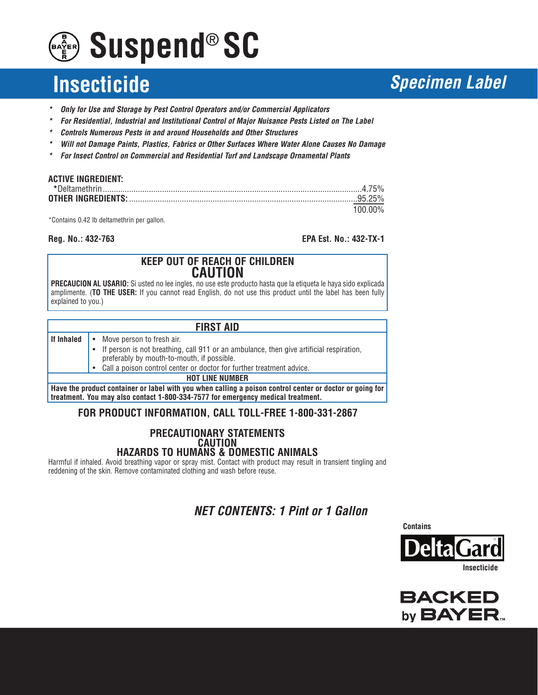# **Suspend® SC**

## **Insecticide Specimen Label**

- **\* Only for Use and Storage by Pest Control Operators and/or Commercial Applicators**
- **\* For Residential, Industrial and Institutional Control of Major Nuisance Pests Listed on The Label**
- **\* Controls Numerous Pests in and around Households and Other Structures**
- **\* Will not Damage Paints, Plastics, Fabrics or Other Surfaces Where Water Alone Causes No Damage**
- **\* For Insect Control on Commercial and Residential Turf and Landscape Ornamental Plants**

| <b>ACTIVE INGREDIENT:</b> |         |
|---------------------------|---------|
|                           |         |
|                           |         |
|                           | 100.00% |

\*Contains 0.42 lb deltamethrin per gallon.

**Reg. No.: 432-763 EPA Est. No.: 432-TX-1**

#### **KEEP OUT OF REACH OF CHILDREN CAUTION**

**PRECAUCION AL USARIO:** Si usted no lee ingles, no use este producto hasta que la etiqueta le haya sido explicada amplimente. (**TO THE USER:** If you cannot read English, do not use this product until the label has been fully explained to you.)

| <b>FIRST AID</b> |           |                                                                                                                                                                                             |  |  |  |
|------------------|-----------|---------------------------------------------------------------------------------------------------------------------------------------------------------------------------------------------|--|--|--|
| If Inhaled       |           | • Move person to fresh air.                                                                                                                                                                 |  |  |  |
|                  |           | • If person is not breathing, call 911 or an ambulance, then give artificial respiration,<br>preferably by mouth-to-mouth, if possible.                                                     |  |  |  |
|                  | $\bullet$ | Call a poison control center or doctor for further treatment advice.                                                                                                                        |  |  |  |
|                  |           | <b>HOT LINE NUMBER</b>                                                                                                                                                                      |  |  |  |
|                  |           | Have the product container or label with you when calling a poison control center or doctor or going for<br>treatment. You may also contact 1-800-334-7577 for emergency medical treatment. |  |  |  |

#### **FOR PRODUCT INFORMATION, CALL TOLL-FREE 1-800-331-2867**

#### **PRECAUTIONARY STATEMENTS CAUTION HAZARDS TO HUMANS & DOMESTIC ANIMALS**

Harmful if inhaled. Avoid breathing vapor or spray mist. Contact with product may result in transient tingling and reddening of the skin. Remove contaminated clothing and wash before reuse.

### **NET CONTENTS: 1 Pint or 1 Gallon**

**Contains**



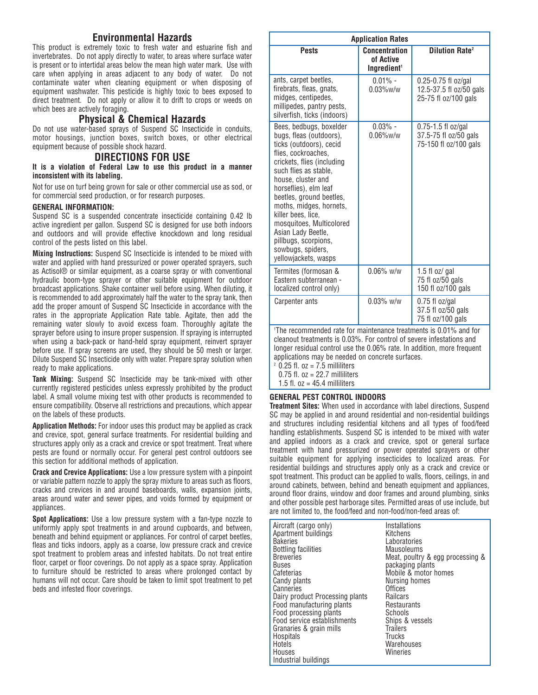#### **Environmental Hazards**

This product is extremely toxic to fresh water and estuarine fish and invertebrates. Do not apply directly to water, to areas where surface water is present or to intertidal areas below the mean high water mark. Use with care when applying in areas adjacent to any body of water. Do not contaminate water when cleaning equipment or when disposing of equipment washwater. This pesticide is highly toxic to bees exposed to direct treatment. Do not apply or allow it to drift to crops or weeds on which bees are actively foraging.

#### **Physical & Chemical Hazards**

Do not use water-based sprays of Suspend SC Insecticide in conduits, motor housings, junction boxes, switch boxes, or other electrical equipment because of possible shock hazard.

#### **DIRECTIONS FOR USE**

**It is a violation of Federal Law to use this product in a manner inconsistent with its labeling.**

Not for use on turf being grown for sale or other commercial use as sod, or for commercial seed production, or for research purposes.

#### **GENERAL INFORMATION:**

Suspend SC is a suspended concentrate insecticide containing 0.42 lb active ingredient per gallon. Suspend SC is designed for use both indoors and outdoors and will provide effective knockdown and long residual control of the pests listed on this label.

**Mixing Instructions:** Suspend SC Insecticide is intended to be mixed with water and applied with hand pressurized or power operated sprayers, such as Actisol® or similar equipment, as a coarse spray or with conventional hydraulic boom-type sprayer or other suitable equipment for outdoor broadcast applications. Shake container well before using. When diluting, it is recommended to add approximately half the water to the spray tank, then add the proper amount of Suspend SC Insecticide in accordance with the rates in the appropriate Application Rate table. Agitate, then add the remaining water slowly to avoid excess foam. Thoroughly agitate the sprayer before using to insure proper suspension. If spraying is interrupted when using a back-pack or hand-held spray equipment, reinvert sprayer before use. If spray screens are used, they should be 50 mesh or larger. Dilute Suspend SC Insecticide only with water. Prepare spray solution when ready to make applications.

**Tank Mixing:** Suspend SC Insecticide may be tank-mixed with other currently registered pesticides unless expressly prohibited by the product label. A small volume mixing test with other products is recommended to ensure compatibility. Observe all restrictions and precautions, which appear on the labels of these products.

**Application Methods:** For indoor uses this product may be applied as crack and crevice, spot, general surface treatments. For residential building and structures apply only as a crack and crevice or spot treatment. Treat where pests are found or normally occur. For general pest control outdoors see this section for additional methods of application.

**Crack and Crevice Applications:** Use a low pressure system with a pinpoint or variable pattern nozzle to apply the spray mixture to areas such as floors, cracks and crevices in and around baseboards, walls, expansion joints, areas around water and sewer pipes, and voids formed by equipment or appliances.

**Spot Applications:** Use a low pressure system with a fan-type nozzle to uniformly apply spot treatments in and around cupboards, and between, beneath and behind equipment or appliances. For control of carpet beetles, fleas and ticks indoors, apply as a coarse, low pressure crack and crevice spot treatment to problem areas and infested habitats. Do not treat entire floor, carpet or floor coverings. Do not apply as a space spray. Application to furniture should be restricted to areas where prolonged contact by humans will not occur. Care should be taken to limit spot treatment to pet beds and infested floor coverings.

| <b>Application Rates</b> |                                                                                                                                                                                                                                                                                                                                                                                                                |                                                              |                                                                          |  |  |
|--------------------------|----------------------------------------------------------------------------------------------------------------------------------------------------------------------------------------------------------------------------------------------------------------------------------------------------------------------------------------------------------------------------------------------------------------|--------------------------------------------------------------|--------------------------------------------------------------------------|--|--|
|                          | <b>Pests</b>                                                                                                                                                                                                                                                                                                                                                                                                   | <b>Concentration</b><br>of Active<br>Ingredient <sup>1</sup> | <b>Dilution Rate<sup>2</sup></b>                                         |  |  |
|                          | ants, carpet beetles,<br>firebrats, fleas, gnats,<br>midges, centipedes,<br>millipedes, pantry pests,<br>silverfish, ticks (indoors)                                                                                                                                                                                                                                                                           | $0.01\%$ -<br>$0.03\%$ w/w                                   | 0.25-0.75 fl oz/gal<br>12.5-37.5 fl oz/50 gals<br>25-75 fl oz/100 gals   |  |  |
|                          | Bees, bedbugs, boxelder<br>bugs, fleas (outdoors),<br>ticks (outdoors), cecid<br>flies, cockroaches,<br>crickets, flies (including<br>such flies as stable,<br>house, cluster and<br>horseflies), elm leaf<br>beetles, ground beetles,<br>moths, midges, hornets,<br>killer bees, lice,<br>mosquitoes, Multicolored<br>Asian Lady Beetle,<br>pillbugs, scorpions,<br>sowbugs, spiders,<br>yellowjackets, wasps | $0.03% -$<br>$0.06\%$ w/w                                    | $0.75 - 1.5$ fl oz/gal<br>37.5-75 fl oz/50 gals<br>75-150 fl oz/100 gals |  |  |
|                          | Termites (formosan &<br>Eastern subterranean -<br>localized control only)                                                                                                                                                                                                                                                                                                                                      | $0.06\%$ w/w                                                 | 1.5 fl oz/ gal<br>75 fl oz/50 gals<br>150 fl oz/100 gals                 |  |  |
|                          | <b>Carpenter ants</b>                                                                                                                                                                                                                                                                                                                                                                                          | $0.03\%$ w/w                                                 | $0.75$ fl oz/gal<br>37.5 fl oz/50 gals<br>75 fl oz/100 gals              |  |  |

1 The recommended rate for maintenance treatments is 0.01% and for cleanout treatments is 0.03%. For control of severe infestations and longer residual control use the 0.06% rate. In addition, more frequent applications may be needed on concrete surfaces.

 $2$  0.25 fl. oz = 7.5 milliliters

0.75 fl.  $oz = 22.7$  milliliters

1.5 fl.  $oz = 45.4$  milliliters

#### **GENERAL PEST CONTROL INDOORS**

**Treatment Sites:** When used in accordance with label directions, Suspend SC may be applied in and around residential and non-residential buildings and structures including residential kitchens and all types of food/feed handling establishments. Suspend SC is intended to be mixed with water and applied indoors as a crack and crevice, spot or general surface treatment with hand pressurized or power operated sprayers or other suitable equipment for applying insecticides to localized areas. For residential buildings and structures apply only as a crack and crevice or spot treatment. This product can be applied to walls, floors, ceilings, in and around cabinets, between, behind and beneath equipment and appliances, around floor drains, window and door frames and around plumbing, sinks and other possible pest harborage sites. Permitted areas of use include, but are not limited to, the food/feed and non-food/non-feed areas of:

Aircraft (cargo only) Apartment buildings **Bakeries** Bottling facilities Breweries Buses Cafeterias Candy plants **Canneries** Dairy product Processing plants Food manufacturing plants Food processing plants Food service establishments Granaries & grain mills Hospitals Hotels Houses Industrial buildings Installations Kitchens Laboratories Mausoleums Meat, poultry & egg processing & packaging plants Mobile & motor homes Nursing homes Offices<sup>®</sup> **Railcars Restaurants Schools** Ships & vessels **Trailers Trucks Warehouses** Wineries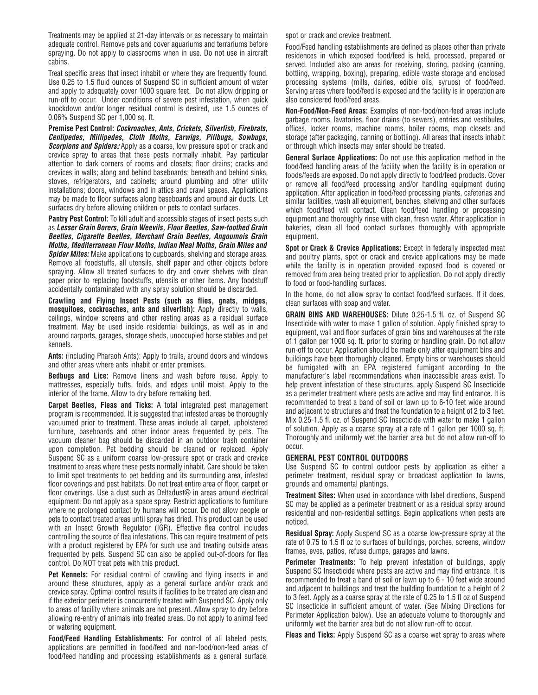Treatments may be applied at 21-day intervals or as necessary to maintain adequate control. Remove pets and cover aquariums and terrariums before spraying. Do not apply to classrooms when in use. Do not use in aircraft cabins.

Treat specific areas that insect inhabit or where they are frequently found. Use 0.25 to 1.5 fluid ounces of Suspend SC in sufficient amount of water and apply to adequately cover 1000 square feet. Do not allow dripping or run-off to occur. Under conditions of severe pest infestation, when quick knockdown and/or longer residual control is desired, use 1.5 ounces of 0.06% Suspend SC per 1,000 sq. ft.

**Premise Pest Control: Cockroaches, Ants, Crickets, Silverfish, Firebrats, Centipedes, Millipedes, Cloth Moths, Earwigs, Pillbugs, Sowbugs, Scorpions and Spiders:** Apply as a coarse, low pressure spot or crack and crevice spray to areas that these pests normally inhabit. Pay particular attention to dark corners of rooms and closets; floor drains; cracks and crevices in walls; along and behind baseboards; beneath and behind sinks, stoves, refrigerators, and cabinets; around plumbing and other utility installations; doors, windows and in attics and crawl spaces. Applications may be made to floor surfaces along baseboards and around air ducts. Let surfaces dry before allowing children or pets to contact surfaces.

**Pantry Pest Control:** To kill adult and accessible stages of insect pests such as **Lesser Grain Borers, Grain Weevils, Flour Beetles, Saw-toothed Grain Beetles, Cigarette Beetles, Merchant Grain Beetles, Angoumois Grain Moths, Mediterranean Flour Moths, Indian Meal Moths, Grain Mites and Spider Mites:** Make applications to cupboards, shelving and storage areas. Remove all foodstuffs, all utensils, shelf paper and other objects before spraying. Allow all treated surfaces to dry and cover shelves with clean paper prior to replacing foodstuffs, utensils or other items. Any foodstuff accidentally contaminated with any spray solution should be discarded.

**Crawling and Flying Insect Pests (such as flies, gnats, midges, mosquitoes, cockroaches, ants and silverfish):** Apply directly to walls, ceilings, window screens and other resting areas as a residual surface treatment. May be used inside residential buildings, as well as in and around carports, garages, storage sheds, unoccupied horse stables and pet kennels.

**Ants:** (including Pharaoh Ants): Apply to trails, around doors and windows and other areas where ants inhabit or enter premises.

**Bedbugs and Lice:** Remove linens and wash before reuse. Apply to mattresses, especially tufts, folds, and edges until moist. Apply to the interior of the frame. Allow to dry before remaking bed.

**Carpet Beetles, Fleas and Ticks:** A total integrated pest management program is recommended. It is suggested that infested areas be thoroughly vacuumed prior to treatment. These areas include all carpet, upholstered furniture, baseboards and other indoor areas frequented by pets. The vacuum cleaner bag should be discarded in an outdoor trash container upon completion. Pet bedding should be cleaned or replaced. Apply Suspend SC as a uniform coarse low-pressure spot or crack and crevice treatment to areas where these pests normally inhabit. Care should be taken to limit spot treatments to pet bedding and its surrounding area, infested floor coverings and pest habitats. Do not treat entire area of floor, carpet or floor coverings. Use a dust such as Deltadust<sup>®</sup> in areas around electrical equipment. Do not apply as a space spray. Restrict applications to furniture where no prolonged contact by humans will occur. Do not allow people or pets to contact treated areas until spray has dried. This product can be used with an Insect Growth Regulator (IGR). Effective flea control includes controlling the source of flea infestations. This can require treatment of pets with a product registered by EPA for such use and treating outside areas frequented by pets. Suspend SC can also be applied out-of-doors for flea control. Do NOT treat pets with this product.

**Pet Kennels:** For residual control of crawling and flying insects in and around these structures, apply as a general surface and/or crack and crevice spray. Optimal control results if facilities to be treated are clean and if the exterior perimeter is concurrently treated with Suspend SC. Apply only to areas of facility where animals are not present. Allow spray to dry before allowing re-entry of animals into treated areas. Do not apply to animal feed or watering equipment.

**Food/Feed Handling Establishments:** For control of all labeled pests, applications are permitted in food/feed and non-food/non-feed areas of food/feed handling and processing establishments as a general surface, spot or crack and crevice treatment.

Food/Feed handling establishments are defined as places other than private residences in which exposed food/feed is held, processed, prepared or served. Included also are areas for receiving, storing, packing (canning, bottling, wrapping, boxing), preparing, edible waste storage and enclosed processing systems (mills, dairies, edible oils, syrups) of food/feed. Serving areas where food/feed is exposed and the facility is in operation are also considered food/feed areas.

**Non-Food/Non-Feed Areas:** Examples of non-food/non-feed areas include garbage rooms, lavatories, floor drains (to sewers), entries and vestibules, offices, locker rooms, machine rooms, boiler rooms, mop closets and storage (after packaging, canning or bottling). All areas that insects inhabit or through which insects may enter should be treated.

**General Surface Applications:** Do not use this application method in the food/feed handling areas of the facility when the facility is in operation or foods/feeds are exposed. Do not apply directly to food/feed products. Cover or remove all food/feed processing and/or handling equipment during application. After application in food/feed processing plants, cafeterias and similar facilities, wash all equipment, benches, shelving and other surfaces which food/feed will contact. Clean food/feed handling or processing equipment and thoroughly rinse with clean, fresh water. After application in bakeries, clean all food contact surfaces thoroughly with appropriate equipment.

**Spot or Crack & Crevice Applications:** Except in federally inspected meat and poultry plants, spot or crack and crevice applications may be made while the facility is in operation provided exposed food is covered or removed from area being treated prior to application. Do not apply directly to food or food-handling surfaces.

In the home, do not allow spray to contact food/feed surfaces. If it does, clean surfaces with soap and water.

**GRAIN BINS AND WAREHOUSES:** Dilute 0.25-1.5 fl. oz. of Suspend SC Insecticide with water to make 1 gallon of solution. Apply finished spray to equipment, wall and floor surfaces of grain bins and warehouses at the rate of 1 gallon per 1000 sq. ft. prior to storing or handling grain. Do not allow run-off to occur. Application should be made only after equipment bins and buildings have been thoroughly cleaned. Empty bins or warehouses should be fumigated with an EPA registered fumigant according to the manufacturer's label recommendations when inaccessible areas exist. To help prevent infestation of these structures, apply Suspend SC Insecticide as a perimeter treatment where pests are active and may find entrance. It is recommended to treat a band of soil or lawn up to 6-10 feet wide around and adjacent to structures and treat the foundation to a height of 2 to 3 feet. Mix 0.25-1.5 fl. oz. of Suspend SC Insecticide with water to make 1 gallon of solution. Apply as a coarse spray at a rate of 1 gallon per 1000 sq. ft. Thoroughly and uniformly wet the barrier area but do not allow run-off to occur.

#### **GENERAL PEST CONTROL OUTDOORS**

Use Suspend SC to control outdoor pests by application as either a perimeter treatment, residual spray or broadcast application to lawns, grounds and ornamental plantings.

**Treatment Sites:** When used in accordance with label directions, Suspend SC may be applied as a perimeter treatment or as a residual spray around residential and non-residential settings. Begin applications when pests are noticed.

**Residual Spray:** Apply Suspend SC as a coarse low-pressure spray at the rate of 0.75 to 1.5 fl oz to surfaces of buildings, porches, screens, window frames, eves, patios, refuse dumps, garages and lawns.

**Perimeter Treatments:** To help prevent infestation of buildings, apply Suspend SC Insecticide where pests are active and may find entrance. It is recommended to treat a band of soil or lawn up to 6 - 10 feet wide around and adjacent to buildings and treat the building foundation to a height of 2 to 3 feet. Apply as a coarse spray at the rate of 0.25 to 1.5 fl oz of Suspend SC Insecticide in sufficient amount of water. (See Mixing Directions for Perimeter Application below). Use an adequate volume to thoroughly and uniformly wet the barrier area but do not allow run-off to occur.

**Fleas and Ticks:** Apply Suspend SC as a coarse wet spray to areas where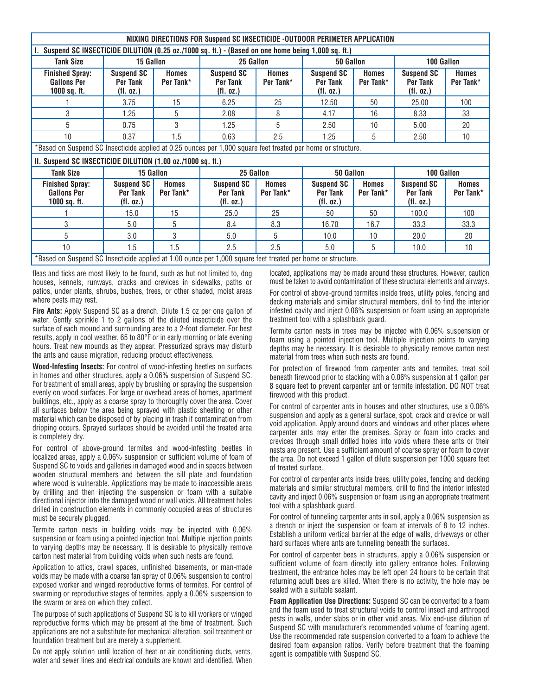|                                                                                                              | MIXING DIRECTIONS FOR Suspend SC INSECTICIDE -OUTDOOR PERIMETER APPLICATION                                 |                           |                                                   |                           |                                                   |                           |                                                   |                           |
|--------------------------------------------------------------------------------------------------------------|-------------------------------------------------------------------------------------------------------------|---------------------------|---------------------------------------------------|---------------------------|---------------------------------------------------|---------------------------|---------------------------------------------------|---------------------------|
|                                                                                                              | Suspend SC INSECTICIDE DILUTION (0.25 oz./1000 sq. ft.) - (Based on one home being 1,000 sq. ft.)           |                           |                                                   |                           |                                                   |                           |                                                   |                           |
| 15 Gallon<br><b>Tank Size</b>                                                                                |                                                                                                             |                           | 25 Gallon<br>50 Gallon                            |                           | 100 Gallon                                        |                           |                                                   |                           |
| <b>Finished Spray:</b><br><b>Gallons Per</b><br>1000 sq. ft.                                                 | <b>Suspend SC</b><br>Per Tank<br>(fl. oz.)                                                                  | <b>Homes</b><br>Per Tank* | <b>Suspend SC</b><br><b>Per Tank</b><br>(fl. oz.) | <b>Homes</b><br>Per Tank* | <b>Suspend SC</b><br><b>Per Tank</b><br>(fl. oz.) | <b>Homes</b><br>Per Tank* | <b>Suspend SC</b><br>Per Tank<br>(fl. oz.)        | <b>Homes</b><br>Per Tank* |
|                                                                                                              | 3.75                                                                                                        | 15                        | 6.25                                              | 25                        | 12.50                                             | 50                        | 25.00                                             | 100                       |
| 3                                                                                                            | 1.25                                                                                                        | 5                         | 2.08                                              | 8                         | 4.17                                              | 16                        | 8.33                                              | 33                        |
| 5                                                                                                            | 0.75                                                                                                        | 3                         | 1.25                                              | 5                         | 2.50                                              | 10                        | 5.00                                              | 20                        |
| 10                                                                                                           | 0.37                                                                                                        | 1.5                       | 0.63                                              | 2.5                       | 1.25                                              | 5                         | 2.50                                              | 10                        |
| *Based on Suspend SC Insecticide applied at 0.25 ounces per 1,000 square feet treated per home or structure. |                                                                                                             |                           |                                                   |                           |                                                   |                           |                                                   |                           |
|                                                                                                              | II. Suspend SC INSECTICIDE DILUTION (1.00 oz./1000 sq. ft.)                                                 |                           |                                                   |                           |                                                   |                           |                                                   |                           |
| <b>Tank Size</b><br>15 Gallon                                                                                |                                                                                                             | 25 Gallon                 |                                                   | 50 Gallon                 |                                                   | 100 Gallon                |                                                   |                           |
| <b>Finished Spray:</b><br><b>Gallons Per</b><br>$1000$ sq. ft.                                               | <b>Suspend SC</b><br><b>Per Tank</b><br>(fl. oz.)                                                           | <b>Homes</b><br>Per Tank* | <b>Suspend SC</b><br><b>Per Tank</b><br>(fl. oz.) | <b>Homes</b><br>Per Tank* | <b>Suspend SC</b><br><b>Per Tank</b><br>(fl. oz.) | <b>Homes</b><br>Per Tank* | <b>Suspend SC</b><br><b>Per Tank</b><br>(fl. oz.) | <b>Homes</b><br>Per Tank* |
|                                                                                                              | 15.0                                                                                                        | 15                        | 25.0                                              | 25                        | 50                                                | 50                        | 100.0                                             | 100                       |
| 3                                                                                                            | 5.0                                                                                                         | 5                         | 8.4                                               | 8.3                       | 16.70                                             | 16.7                      | 33.3                                              | 33.3                      |
| 5                                                                                                            | 3.0                                                                                                         | 3                         | 5.0                                               | 5                         | 10.0                                              | 10                        | 20.0                                              | 20                        |
| 10                                                                                                           | 1.5                                                                                                         | 1.5                       | 2.5                                               | 2.5                       | 5.0                                               | 5                         | 10.0                                              | 10                        |
|                                                                                                              | *Based on Suspend SC Insecticide applied at 1.00 ounce per 1,000 square feet treated per home or structure. |                           |                                                   |                           |                                                   |                           |                                                   |                           |

fleas and ticks are most likely to be found, such as but not limited to, dog houses, kennels, runways, cracks and crevices in sidewalks, paths or patios, under plants, shrubs, bushes, trees, or other shaded, moist areas where pests may rest.

**Fire Ants:** Apply Suspend SC as a drench. Dilute 1.5 oz per one gallon of water. Gently sprinkle 1 to 2 gallons of the diluted insecticide over the surface of each mound and surrounding area to a 2-foot diameter. For best results, apply in cool weather, 65 to 80°F or in early morning or late evening hours. Treat new mounds as they appear. Pressurized sprays may disturb the ants and cause migration, reducing product effectiveness.

**Wood-Infesting Insects:** For control of wood-infesting beetles on surfaces in homes and other structures, apply a 0.06% suspension of Suspend SC. For treatment of small areas, apply by brushing or spraying the suspension evenly on wood surfaces. For large or overhead areas of homes, apartment buildings, etc., apply as a coarse spray to thoroughly cover the area. Cover all surfaces below the area being sprayed with plastic sheeting or other material which can be disposed of by placing in trash if contamination from dripping occurs. Sprayed surfaces should be avoided until the treated area is completely dry.

For control of above-ground termites and wood-infesting beetles in localized areas, apply a 0.06% suspension or sufficient volume of foam of Suspend SC to voids and galleries in damaged wood and in spaces between wooden structural members and between the sill plate and foundation where wood is vulnerable. Applications may be made to inaccessible areas by drilling and then injecting the suspension or foam with a suitable directional injector into the damaged wood or wall voids. All treatment holes drilled in construction elements in commonly occupied areas of structures must be securely plugged.

Termite carton nests in building voids may be injected with 0.06% suspension or foam using a pointed injection tool. Multiple injection points to varying depths may be necessary. It is desirable to physically remove carton nest material from building voids when such nests are found.

Application to attics, crawl spaces, unfinished basements, or man-made voids may be made with a coarse fan spray of 0.06% suspension to control exposed worker and winged reproductive forms of termites. For control of swarming or reproductive stages of termites, apply a 0.06% suspension to the swarm or area on which they collect.

The purpose of such applications of Suspend SC is to kill workers or winged reproductive forms which may be present at the time of treatment. Such applications are not a substitute for mechanical alteration, soil treatment or foundation treatment but are merely a supplement.

Do not apply solution until location of heat or air conditioning ducts, vents, water and sewer lines and electrical conduits are known and identified. When located, applications may be made around these structures. However, caution must be taken to avoid contamination of these structural elements and airways.

For control of above-ground termites inside trees, utility poles, fencing and decking materials and similar structural members, drill to find the interior infested cavity and inject 0.06% suspension or foam using an appropriate treatment tool with a splashback guard.

Termite carton nests in trees may be injected with 0.06% suspension or foam using a pointed injection tool. Multiple injection points to varying depths may be necessary. It is desirable to physically remove carton nest material from trees when such nests are found.

For protection of firewood from carpenter ants and termites, treat soil beneath firewood prior to stacking with a 0.06% suspension at 1 gallon per 8 square feet to prevent carpenter ant or termite infestation. DO NOT treat firewood with this product.

For control of carpenter ants in houses and other structures, use a 0.06% suspension and apply as a general surface, spot, crack and crevice or wall void application. Apply around doors and windows and other places where carpenter ants may enter the premises. Spray or foam into cracks and crevices through small drilled holes into voids where these ants or their nests are present. Use a sufficient amount of coarse spray or foam to cover the area. Do not exceed 1 gallon of dilute suspension per 1000 square feet of treated surface.

For control of carpenter ants inside trees, utility poles, fencing and decking materials and similar structural members, drill to find the interior infested cavity and inject 0.06% suspension or foam using an appropriate treatment tool with a splashback guard.

For control of tunneling carpenter ants in soil, apply a 0.06% suspension as a drench or inject the suspension or foam at intervals of 8 to 12 inches. Establish a uniform vertical barrier at the edge of walls, driveways or other hard surfaces where ants are tunneling beneath the surfaces.

For control of carpenter bees in structures, apply a 0.06% suspension or sufficient volume of foam directly into gallery entrance holes. Following treatment, the entrance holes may be left open 24 hours to be certain that returning adult bees are killed. When there is no activity, the hole may be sealed with a suitable sealant.

**Foam Application Use Directions:** Suspend SC can be converted to a foam and the foam used to treat structural voids to control insect and arthropod pests in walls, under slabs or in other void areas. Mix end-use dilution of Suspend SC with manufacturer's recommended volume of foaming agent. Use the recommended rate suspension converted to a foam to achieve the desired foam expansion ratios. Verify before treatment that the foaming agent is compatible with Suspend SC.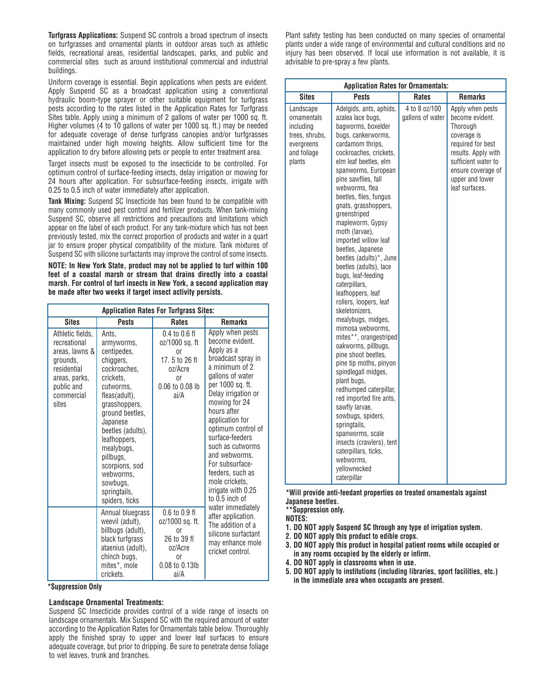**Turfgrass Applications:** Suspend SC controls a broad spectrum of insects on turfgrasses and ornamental plants in outdoor areas such as athletic fields, recreational areas, residential landscapes, parks, and public and commercial sites such as around institutional commercial and industrial buildings.

Uniform coverage is essential. Begin applications when pests are evident. Apply Suspend SC as a broadcast application using a conventional hydraulic boom-type sprayer or other suitable equipment for turfgrass pests according to the rates listed in the Application Rates for Turfgrass Sites table. Apply using a minimum of 2 gallons of water per 1000 sq. ft. Higher volumes (4 to 10 gallons of water per 1000 sq. ft.) may be needed for adequate coverage of dense turfgrass canopies and/or turfgrasses maintained under high mowing heights. Allow sufficient time for the application to dry before allowing pets or people to enter treatment area.

Target insects must be exposed to the insecticide to be controlled. For optimum control of surface-feeding insects, delay irrigation or mowing for 24 hours after application. For subsurface-feeding insects, irrigate with 0.25 to 0.5 inch of water immediately after application.

**Tank Mixing:** Suspend SC Insecticide has been found to be compatible with many commonly used pest control and fertilizer products. When tank-mixing Suspend SC, observe all restrictions and precautions and limitations which appear on the label of each product. For any tank-mixture which has not been previously tested, mix the correct proportion of products and water in a quart jar to ensure proper physical compatibility of the mixture. Tank mixtures of Suspend SC with silicone surfactants may improve the control of some insects.

**NOTE: In New York State, product may not be applied to turf within 100 feet of a coastal marsh or stream that drains directly into a coastal marsh. For control of turf insects in New York, a second application may be made after two weeks if target insect activity persists.**

|                                                                                                                                     | <b>Application Rates For Turfgrass Sites:</b>                                                                                                                                                                                                                                                           |                                                                                                                   |                                                                                                                                                                                                                                                                                                                                                                                            |  |
|-------------------------------------------------------------------------------------------------------------------------------------|---------------------------------------------------------------------------------------------------------------------------------------------------------------------------------------------------------------------------------------------------------------------------------------------------------|-------------------------------------------------------------------------------------------------------------------|--------------------------------------------------------------------------------------------------------------------------------------------------------------------------------------------------------------------------------------------------------------------------------------------------------------------------------------------------------------------------------------------|--|
| <b>Sites</b>                                                                                                                        | <b>Pests</b>                                                                                                                                                                                                                                                                                            | <b>Rates</b>                                                                                                      | <b>Remarks</b>                                                                                                                                                                                                                                                                                                                                                                             |  |
| Athletic fields,<br>recreational<br>areas, lawns &<br>grounds.<br>residential<br>areas, parks,<br>public and<br>commercial<br>sites | Ants.<br>armyworms,<br>centipedes,<br>chiggers,<br>cockroaches.<br>crickets.<br>cutworms.<br>fleas(adult),<br>grasshoppers,<br>ground beetles,<br>Japanese<br>beetles (adults),<br>leafhoppers,<br>mealybugs,<br>pillbugs,<br>scorpions, sod<br>webworms.<br>sowbugs,<br>springtails,<br>spiders, ticks | $0.4$ to $0.6$ fl<br>oz/1000 sq. ft<br>0r<br>17.5 to 26 fl<br>oz/Acre<br><sub>0r</sub><br>0.06 to 0.08 lb<br>ai/A | Apply when pests<br>become evident.<br>Apply as a<br>broadcast spray in<br>a minimum of 2<br>gallons of water<br>per 1000 sq. ft.<br>Delay irrigation or<br>mowing for 24<br>hours after<br>application for<br>optimum control of<br>surface-feeders<br>such as cutworms<br>and webworms.<br>For subsurface-<br>feeders, such as<br>mole crickets.<br>irrigate with 0.25<br>to 0.5 inch of |  |
|                                                                                                                                     | Annual bluegrass<br>weevil (adult),<br>billbugs (adult),<br>black turfgrass<br>ataenius (adult),<br>chinch bugs,<br>mites*, mole<br>crickets.                                                                                                                                                           | $0.6$ to $0.9$ fl<br>oz/1000 sq. ft.<br><sub>0r</sub><br>26 to 39 fl<br>oz/Acre<br>0r<br>0.08 to 0.13lb<br>ai/A   | water immediately<br>after application.<br>The addition of a<br>silicone surfactant<br>may enhance mole<br>cricket control.                                                                                                                                                                                                                                                                |  |

**\*Suppression Only**

#### **Landscape Ornamental Treatments:**

Suspend SC Insecticide provides control of a wide range of insects on landscape ornamentals. Mix Suspend SC with the required amount of water according to the Application Rates for Ornamentals table below. Thoroughly apply the finished spray to upper and lower leaf surfaces to ensure adequate coverage, but prior to dripping. Be sure to penetrate dense foliage to wet leaves, trunk and branches.

Plant safety testing has been conducted on many species of ornamental plants under a wide range of environmental and cultural conditions and no injury has been observed. If local use information is not available, it is advisable to pre-spray a few plants.

| <b>Application Rates for Ornamentals:</b>                                                      |                                                                                                                                                                                                                                                                                                                                                                                                                                                                                                                                                                                                                                                                                                                                                                                                                                                                                                                                                                     |                                   |                                                                                                                                                                                              |  |  |
|------------------------------------------------------------------------------------------------|---------------------------------------------------------------------------------------------------------------------------------------------------------------------------------------------------------------------------------------------------------------------------------------------------------------------------------------------------------------------------------------------------------------------------------------------------------------------------------------------------------------------------------------------------------------------------------------------------------------------------------------------------------------------------------------------------------------------------------------------------------------------------------------------------------------------------------------------------------------------------------------------------------------------------------------------------------------------|-----------------------------------|----------------------------------------------------------------------------------------------------------------------------------------------------------------------------------------------|--|--|
| <b>Sites</b>                                                                                   | <b>Pests</b>                                                                                                                                                                                                                                                                                                                                                                                                                                                                                                                                                                                                                                                                                                                                                                                                                                                                                                                                                        | <b>Rates</b>                      | <b>Remarks</b>                                                                                                                                                                               |  |  |
| Landscape<br>ornamentals<br>including<br>trees, shrubs,<br>evergreens<br>and foliage<br>plants | Adelgids, ants, aphids,<br>azalea lace bugs,<br>bagworms, boxelder<br>bugs, cankerworms,<br>cardamom thrips.<br>cockroaches, crickets,<br>elm leaf beetles, elm<br>spanworms, European<br>pine sawflies, fall<br>webworms, flea<br>beetles, flies, fungus<br>gnats, grasshoppers,<br>greenstriped<br>mapleworm, Gypsy<br>moth (larvae),<br>imported willow leaf<br>beetles, Japanese<br>beetles (adults)*, June<br>beetles (adults), lace<br>bugs, leaf-feeding<br>caterpillars,<br>leafhoppers, leaf<br>rollers, loopers, leaf<br>skeletonizers,<br>mealybugs, midges,<br>mimosa webworms,<br>mites**, orangestriped<br>oakworms, pillbugs,<br>pine shoot beetles,<br>pine tip moths, pinyon<br>spindlegall midges,<br>plant bugs,<br>redhumped caterpillar,<br>red imported fire ants,<br>sawfly larvae,<br>sowbugs, spiders,<br>springtails.<br>spanworms, scale<br>insects (crawlers), tent<br>caterpillars, ticks,<br>webworms.<br>vellownecked<br>caterpillar | 4 to 8 oz/100<br>gallons of water | Apply when pests<br>become evident.<br>Thorough<br>coverage is<br>required for best<br>results. Apply with<br>sufficient water to<br>ensure coverage of<br>upper and lower<br>leaf surfaces. |  |  |

**\*Will provide anti-feedant properties on treated ornamentals against Japanese beetles.**

**\*\*Suppression only.**

- **NOTES:**
- **1. DO NOT apply Suspend SC through any type of irrigation system.**
- **2. DO NOT apply this product to edible crops.**
- **3. DO NOT apply this product in hospital patient rooms while occupied or in any rooms occupied by the elderly or infirm.**
- **4. DO NOT apply in classrooms when in use.**
- **5. DO NOT apply to institutions (including libraries, sport facilities, etc.) in the immediate area when occupants are present.**